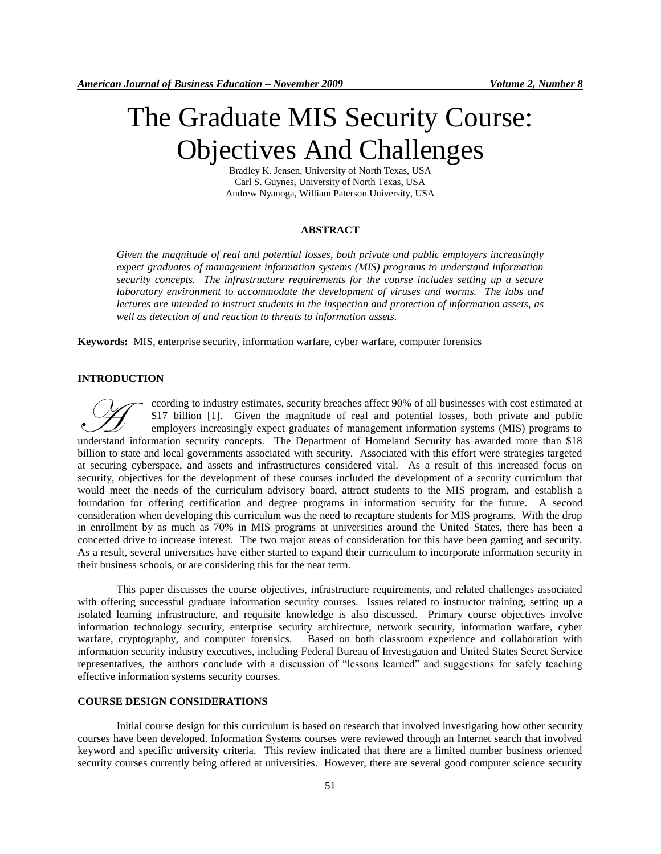# The Graduate MIS Security Course: Objectives And Challenges

Bradley K. Jensen, University of North Texas, USA Carl S. Guynes, University of North Texas, USA Andrew Nyanoga, William Paterson University, USA

#### **ABSTRACT**

*Given the magnitude of real and potential losses, both private and public employers increasingly expect graduates of management information systems (MIS) programs to understand information security concepts. The infrastructure requirements for the course includes setting up a secure*  laboratory environment to accommodate the development of viruses and worms. The labs and *lectures are intended to instruct students in the inspection and protection of information assets, as well as detection of and reaction to threats to information assets.* 

**Keywords:** MIS, enterprise security, information warfare, cyber warfare, computer forensics

## **INTRODUCTION**

ccording to industry estimates, security breaches affect 90% of all businesses with cost estimated at \$17 billion [1]. Given the magnitude of real and potential losses, both private and public employers increasingly expect graduates of management information systems (MIS) programs to Cording to industry estimates, security breaches affect 90% of all businesses with cost estimated at \$17 billion [1]. Given the magnitude of real and potential losses, both private and public employers increasingly expect billion to state and local governments associated with security. Associated with this effort were strategies targeted at securing cyberspace, and assets and infrastructures considered vital. As a result of this increased focus on security, objectives for the development of these courses included the development of a security curriculum that would meet the needs of the curriculum advisory board, attract students to the MIS program, and establish a foundation for offering certification and degree programs in information security for the future. A second consideration when developing this curriculum was the need to recapture students for MIS programs. With the drop in enrollment by as much as 70% in MIS programs at universities around the United States, there has been a concerted drive to increase interest. The two major areas of consideration for this have been gaming and security. As a result, several universities have either started to expand their curriculum to incorporate information security in their business schools, or are considering this for the near term.

This paper discusses the course objectives, infrastructure requirements, and related challenges associated with offering successful graduate information security courses. Issues related to instructor training, setting up a isolated learning infrastructure, and requisite knowledge is also discussed. Primary course objectives involve information technology security, enterprise security architecture, network security, information warfare, cyber warfare, cryptography, and computer forensics. Based on both classroom experience and collaboration with information security industry executives, including Federal Bureau of Investigation and United States Secret Service representatives, the authors conclude with a discussion of "lessons learned" and suggestions for safely teaching effective information systems security courses.

### **COURSE DESIGN CONSIDERATIONS**

Initial course design for this curriculum is based on research that involved investigating how other security courses have been developed. Information Systems courses were reviewed through an Internet search that involved keyword and specific university criteria. This review indicated that there are a limited number business oriented security courses currently being offered at universities. However, there are several good computer science security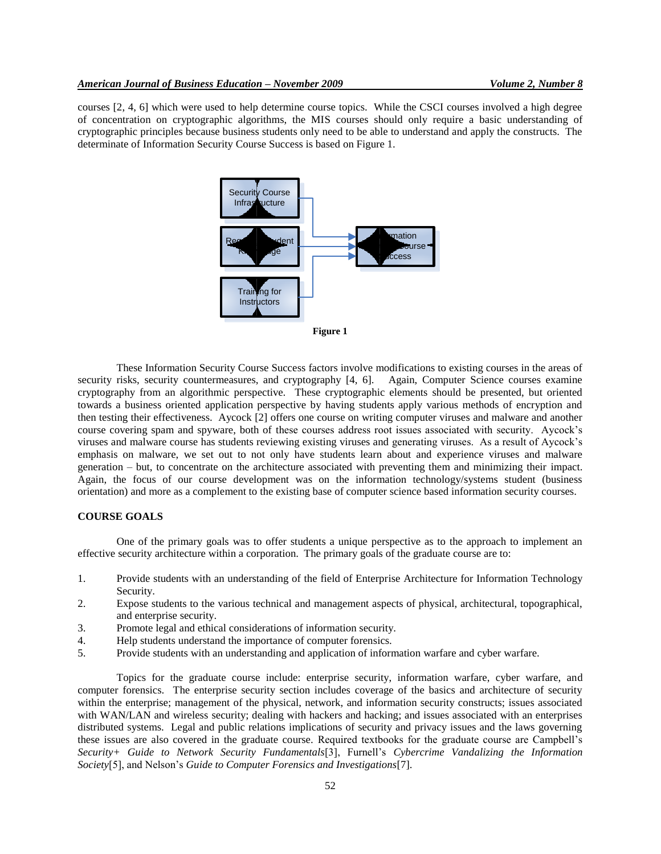courses [2, 4, 6] which were used to help determine course topics. While the CSCI courses involved a high degree of concentration on cryptographic algorithms, the MIS courses should only require a basic understanding of cryptographic principles because business students only need to be able to understand and apply the constructs. The determinate of Information Security Course Success is based on Figure 1.





These Information Security Course Success factors involve modifications to existing courses in the areas of security risks, security countermeasures, and cryptography [4, 6]. Again, Computer Science courses examine cryptography from an algorithmic perspective. These cryptographic elements should be presented, but oriented towards a business oriented application perspective by having students apply various methods of encryption and then testing their effectiveness. Aycock [2] offers one course on writing computer viruses and malware and another course covering spam and spyware, both of these courses address root issues associated with security. Aycock's viruses and malware course has students reviewing existing viruses and generating viruses. As a result of Aycock's emphasis on malware, we set out to not only have students learn about and experience viruses and malware generation – but, to concentrate on the architecture associated with preventing them and minimizing their impact. Again, the focus of our course development was on the information technology/systems student (business orientation) and more as a complement to the existing base of computer science based information security courses.

## **COURSE GOALS**

One of the primary goals was to offer students a unique perspective as to the approach to implement an effective security architecture within a corporation. The primary goals of the graduate course are to:

- 1. Provide students with an understanding of the field of Enterprise Architecture for Information Technology Security.
- 2. Expose students to the various technical and management aspects of physical, architectural, topographical, and enterprise security.
- 3. Promote legal and ethical considerations of information security.
- 4. Help students understand the importance of computer forensics.
- 5. Provide students with an understanding and application of information warfare and cyber warfare.

Topics for the graduate course include: enterprise security, information warfare, cyber warfare, and computer forensics. The enterprise security section includes coverage of the basics and architecture of security within the enterprise; management of the physical, network, and information security constructs; issues associated with WAN/LAN and wireless security; dealing with hackers and hacking; and issues associated with an enterprises distributed systems. Legal and public relations implications of security and privacy issues and the laws governing these issues are also covered in the graduate course. Required textbooks for the graduate course are Campbell's *Security+ Guide to Network Security Fundamentals*[3], Furnell's *Cybercrime Vandalizing the Information Society*[5], and Nelson's *Guide to Computer Forensics and Investigations*[7].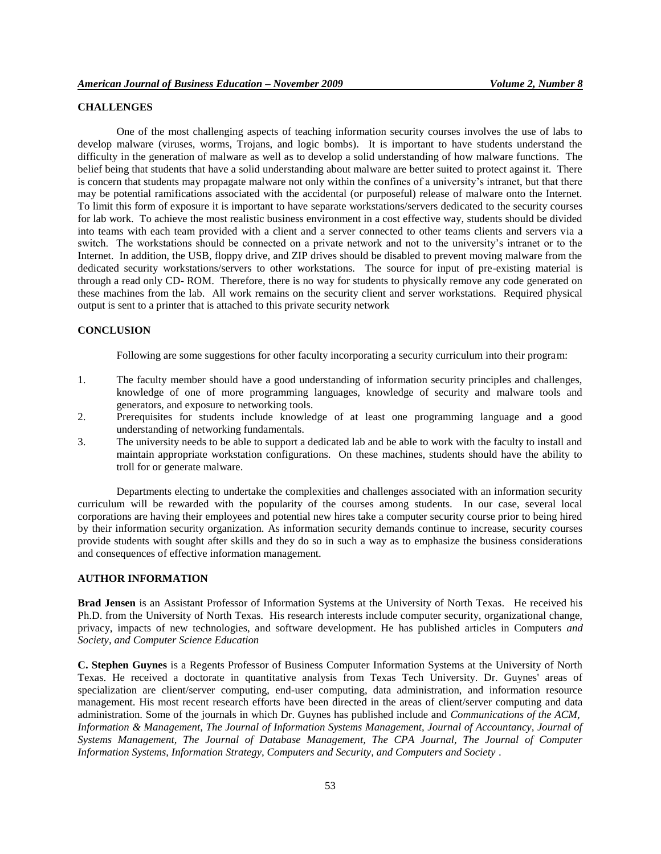# **CHALLENGES**

One of the most challenging aspects of teaching information security courses involves the use of labs to develop malware (viruses, worms, Trojans, and logic bombs). It is important to have students understand the difficulty in the generation of malware as well as to develop a solid understanding of how malware functions. The belief being that students that have a solid understanding about malware are better suited to protect against it. There is concern that students may propagate malware not only within the confines of a university's intranet, but that there may be potential ramifications associated with the accidental (or purposeful) release of malware onto the Internet. To limit this form of exposure it is important to have separate workstations/servers dedicated to the security courses for lab work. To achieve the most realistic business environment in a cost effective way, students should be divided into teams with each team provided with a client and a server connected to other teams clients and servers via a switch. The workstations should be connected on a private network and not to the university's intranet or to the Internet. In addition, the USB, floppy drive, and ZIP drives should be disabled to prevent moving malware from the dedicated security workstations/servers to other workstations. The source for input of pre-existing material is through a read only CD- ROM. Therefore, there is no way for students to physically remove any code generated on these machines from the lab. All work remains on the security client and server workstations. Required physical output is sent to a printer that is attached to this private security network

#### **CONCLUSION**

Following are some suggestions for other faculty incorporating a security curriculum into their program:

- 1. The faculty member should have a good understanding of information security principles and challenges, knowledge of one of more programming languages, knowledge of security and malware tools and generators, and exposure to networking tools.
- 2. Prerequisites for students include knowledge of at least one programming language and a good understanding of networking fundamentals.
- 3. The university needs to be able to support a dedicated lab and be able to work with the faculty to install and maintain appropriate workstation configurations. On these machines, students should have the ability to troll for or generate malware.

Departments electing to undertake the complexities and challenges associated with an information security curriculum will be rewarded with the popularity of the courses among students. In our case, several local corporations are having their employees and potential new hires take a computer security course prior to being hired by their information security organization. As information security demands continue to increase, security courses provide students with sought after skills and they do so in such a way as to emphasize the business considerations and consequences of effective information management.

#### **AUTHOR INFORMATION**

**Brad Jensen** is an Assistant Professor of Information Systems at the University of North Texas. He received his Ph.D. from the University of North Texas. His research interests include computer security, organizational change, privacy, impacts of new technologies, and software development. He has published articles in Computers *and Society, and Computer Science Education*

**C. Stephen Guynes** is a Regents Professor of Business Computer Information Systems at the University of North Texas. He received a doctorate in quantitative analysis from Texas Tech University. Dr. Guynes' areas of specialization are client/server computing, end-user computing, data administration, and information resource management. His most recent research efforts have been directed in the areas of client/server computing and data administration. Some of the journals in which Dr. Guynes has published include and *Communications of the ACM, Information & Management, The Journal of Information Systems Management, Journal of Accountancy, Journal of Systems Management, The Journal of Database Management, The CPA Journal, The Journal of Computer Information Systems, Information Strategy, Computers and Security, and Computers and Society* .